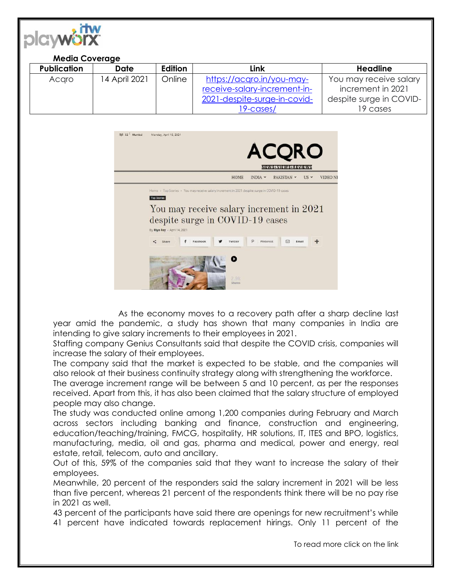

## **Media Coverage**

| <b>Publication</b> | <b>Date</b>   | <b>Edition</b> | Link                         | Headline                |
|--------------------|---------------|----------------|------------------------------|-------------------------|
| Acaro              | 14 April 2021 | Online         | https://acqro.in/you-may-    | You may receive salary  |
|                    |               |                | receive-salary-increment-in- | increment in 2021       |
|                    |               |                | 2021-despite-surge-in-covid- | despite surge in COVID- |
|                    |               |                | 19-cases/                    | 19 cases                |



As the economy moves to a recovery path after a sharp decline last year amid the pandemic, a study has shown that many companies in India are intending to give salary increments to their employees in 2021.

Staffing company Genius Consultants said that despite the COVID crisis, companies will increase the salary of their employees.

The company said that the market is expected to be stable, and the companies will also relook at their business continuity strategy along with strengthening the workforce.

The average increment range will be between 5 and 10 percent, as per the responses received. Apart from this, it has also been claimed that the salary structure of employed people may also change.

The study was conducted online among 1,200 companies during February and March across sectors including banking and finance, construction and engineering, education/teaching/training, FMCG, hospitality, HR solutions, IT, ITES and BPO, logistics, manufacturing, media, oil and gas, pharma and medical, power and energy, real estate, retail, telecom, auto and ancillary.

Out of this, 59% of the companies said that they want to increase the salary of their employees.

Meanwhile, 20 percent of the responders said the salary increment in 2021 will be less than five percent, whereas 21 percent of the respondents think there will be no pay rise in 2021 as well.

43 percent of the participants have said there are openings for new recruitment's while 41 percent have indicated towards replacement hirings. Only 11 percent of the

To read more click on the link